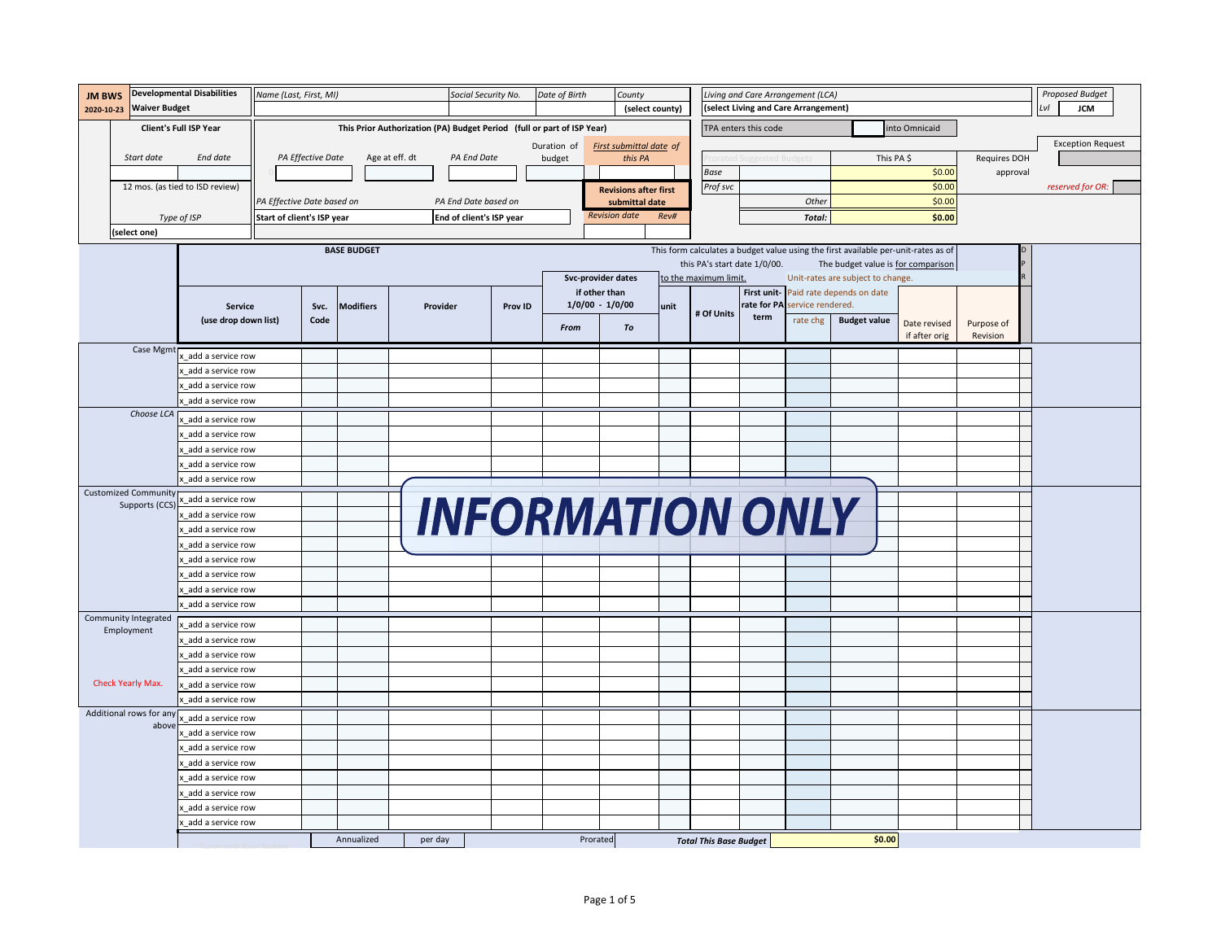| <b>JM BWS</b> |                        | <b>Developmental Disabilities</b>      | Name (Last, First, MI)     |                   |                    |                                                                        | Social Security No.      |         | Date of Birth |                                     | County                         |      |                               |                      | Living and Care Arrangement (LCA)    |                                                                                    |               |              |     | Proposed Budget          |
|---------------|------------------------|----------------------------------------|----------------------------|-------------------|--------------------|------------------------------------------------------------------------|--------------------------|---------|---------------|-------------------------------------|--------------------------------|------|-------------------------------|----------------------|--------------------------------------|------------------------------------------------------------------------------------|---------------|--------------|-----|--------------------------|
| 2020-10-23    | <b>Waiver Budget</b>   |                                        |                            |                   |                    |                                                                        |                          |         |               |                                     | (select county)                |      |                               |                      | (select Living and Care Arrangement) |                                                                                    |               |              | Lvl | <b>JCM</b>               |
|               |                        | <b>Client's Full ISP Year</b>          |                            |                   |                    | This Prior Authorization (PA) Budget Period (full or part of ISP Year) |                          |         |               |                                     |                                |      |                               | TPA enters this code |                                      |                                                                                    | into Omnicaid |              |     |                          |
|               |                        |                                        |                            |                   |                    |                                                                        |                          |         | Duration of   |                                     | <b>First submittal date of</b> |      |                               |                      |                                      |                                                                                    |               |              |     | <b>Exception Request</b> |
|               | Start date             | End date                               |                            | PA Effective Date |                    | Age at eff. dt                                                         | <b>PA End Date</b>       |         | budget        |                                     | this PA                        |      |                               |                      |                                      | This PA \$                                                                         |               | Requires DOH |     |                          |
|               |                        |                                        |                            |                   |                    |                                                                        |                          |         |               |                                     |                                |      | Base                          |                      |                                      |                                                                                    | \$0.00        | approval     |     |                          |
|               |                        | 12 mos. (as tied to ISD review)        |                            |                   |                    |                                                                        |                          |         |               |                                     | <b>Revisions after first</b>   |      | Prof svc                      |                      |                                      |                                                                                    | \$0.00        |              |     | reserved for OR:         |
|               |                        |                                        | PA Effective Date based on |                   |                    |                                                                        | PA End Date based on     |         |               |                                     | submittal date                 |      |                               |                      | Other                                |                                                                                    | \$0.00        |              |     |                          |
|               |                        | Type of ISP                            | Start of client's ISP year |                   |                    |                                                                        | End of client's ISP year |         |               |                                     | <b>Revision date</b>           | Rev# |                               |                      | Total:                               |                                                                                    | \$0.00        |              |     |                          |
|               | (select one)           |                                        |                            |                   |                    |                                                                        |                          |         |               |                                     |                                |      |                               |                      |                                      |                                                                                    |               |              |     |                          |
|               |                        |                                        |                            |                   | <b>BASE BUDGET</b> |                                                                        |                          |         |               |                                     |                                |      |                               |                      |                                      | This form calculates a budget value using the first available per-unit-rates as of |               |              |     |                          |
|               |                        |                                        |                            |                   |                    |                                                                        |                          |         |               |                                     |                                |      | this PA's start date 1/0/00.  |                      |                                      | The budget value is for comparison                                                 |               |              |     |                          |
|               |                        |                                        |                            |                   |                    |                                                                        |                          |         |               | Svc-provider dates<br>if other than |                                |      | to the maximum limit.         |                      |                                      | Unit-rates are subject to change.<br>First unit- Paid rate depends on date         |               |              |     |                          |
|               |                        | <b>Service</b>                         |                            | Svc.              | <b>Modifiers</b>   | Provider                                                               |                          | Prov ID |               | $1/0/00 - 1/0/00$                   |                                | unit |                               |                      | rate for PA service rendered.        |                                                                                    |               |              |     |                          |
|               |                        | (use drop down list)                   |                            | Code              |                    |                                                                        |                          |         |               |                                     |                                |      | # Of Units                    | term                 | rate chg                             | <b>Budget value</b>                                                                | Date revised  | Purpose of   |     |                          |
|               |                        |                                        |                            |                   |                    |                                                                        |                          |         | From          |                                     | To                             |      |                               |                      |                                      |                                                                                    | if after orig | Revision     |     |                          |
|               | Case Mgmt              |                                        |                            |                   |                    |                                                                        |                          |         |               |                                     |                                |      |                               |                      |                                      |                                                                                    |               |              |     |                          |
|               |                        | add a service row<br>add a service row |                            |                   |                    |                                                                        |                          |         |               |                                     |                                |      |                               |                      |                                      |                                                                                    |               |              |     |                          |
|               |                        | add a service row                      |                            |                   |                    |                                                                        |                          |         |               |                                     |                                |      |                               |                      |                                      |                                                                                    |               |              |     |                          |
|               |                        | add a service row                      |                            |                   |                    |                                                                        |                          |         |               |                                     |                                |      |                               |                      |                                      |                                                                                    |               |              |     |                          |
|               | Choose LCA             | add a service row                      |                            |                   |                    |                                                                        |                          |         |               |                                     |                                |      |                               |                      |                                      |                                                                                    |               |              |     |                          |
|               |                        | add a service row                      |                            |                   |                    |                                                                        |                          |         |               |                                     |                                |      |                               |                      |                                      |                                                                                    |               |              |     |                          |
|               |                        | add a service row                      |                            |                   |                    |                                                                        |                          |         |               |                                     |                                |      |                               |                      |                                      |                                                                                    |               |              |     |                          |
|               |                        | add a service row                      |                            |                   |                    |                                                                        |                          |         |               |                                     |                                |      |                               |                      |                                      |                                                                                    |               |              |     |                          |
|               |                        | add a service row                      |                            |                   |                    |                                                                        |                          |         |               |                                     |                                |      |                               |                      |                                      |                                                                                    |               |              |     |                          |
|               | Customized Community   | add a service row                      |                            |                   |                    |                                                                        |                          |         |               |                                     |                                |      |                               |                      |                                      |                                                                                    |               |              |     |                          |
|               | Supports (CCS)         | _add a service row                     |                            |                   |                    |                                                                        |                          |         |               |                                     |                                |      | <b>INFORMATION ONLY</b>       |                      |                                      |                                                                                    |               |              |     |                          |
|               |                        | add a service row                      |                            |                   |                    |                                                                        |                          |         |               |                                     |                                |      |                               |                      |                                      |                                                                                    |               |              |     |                          |
|               |                        | add a service row                      |                            |                   |                    |                                                                        |                          |         |               |                                     |                                |      |                               |                      |                                      |                                                                                    |               |              |     |                          |
|               |                        | add a service row                      |                            |                   |                    |                                                                        |                          |         |               |                                     |                                |      |                               |                      |                                      |                                                                                    |               |              |     |                          |
|               |                        | add a service row                      |                            |                   |                    |                                                                        |                          |         |               |                                     |                                |      |                               |                      |                                      |                                                                                    |               |              |     |                          |
|               |                        | add a service row                      |                            |                   |                    |                                                                        |                          |         |               |                                     |                                |      |                               |                      |                                      |                                                                                    |               |              |     |                          |
|               | Community Integrated   | add a service row                      |                            |                   |                    |                                                                        |                          |         |               |                                     |                                |      |                               |                      |                                      |                                                                                    |               |              |     |                          |
|               | Employment             | add a service row                      |                            |                   |                    |                                                                        |                          |         |               |                                     |                                |      |                               |                      |                                      |                                                                                    |               |              |     |                          |
|               |                        | add a service row                      |                            |                   |                    |                                                                        |                          |         |               |                                     |                                |      |                               |                      |                                      |                                                                                    |               |              |     |                          |
|               |                        | add a service row                      |                            |                   |                    |                                                                        |                          |         |               |                                     |                                |      |                               |                      |                                      |                                                                                    |               |              |     |                          |
|               | Check Yearly Max.      | add a service row                      |                            |                   |                    |                                                                        |                          |         |               |                                     |                                |      |                               |                      |                                      |                                                                                    |               |              |     |                          |
|               |                        | add a service row<br>add a service row |                            |                   |                    |                                                                        |                          |         |               |                                     |                                |      |                               |                      |                                      |                                                                                    |               |              |     |                          |
|               | Additional rows for an |                                        |                            |                   |                    |                                                                        |                          |         |               |                                     |                                |      |                               |                      |                                      |                                                                                    |               |              |     |                          |
|               | above                  | add a service row                      |                            |                   |                    |                                                                        |                          |         |               |                                     |                                |      |                               |                      |                                      |                                                                                    |               |              |     |                          |
|               |                        | add a service row<br>add a service row |                            |                   |                    |                                                                        |                          |         |               |                                     |                                |      |                               |                      |                                      |                                                                                    |               |              |     |                          |
|               |                        | add a service row                      |                            |                   |                    |                                                                        |                          |         |               |                                     |                                |      |                               |                      |                                      |                                                                                    |               |              |     |                          |
|               |                        | add a service row                      |                            |                   |                    |                                                                        |                          |         |               |                                     |                                |      |                               |                      |                                      |                                                                                    |               |              |     |                          |
|               |                        | add a service row                      |                            |                   |                    |                                                                        |                          |         |               |                                     |                                |      |                               |                      |                                      |                                                                                    |               |              |     |                          |
|               |                        | add a service row                      |                            |                   |                    |                                                                        |                          |         |               |                                     |                                |      |                               |                      |                                      |                                                                                    |               |              |     |                          |
|               |                        | add a service row                      |                            |                   |                    |                                                                        |                          |         |               |                                     |                                |      |                               |                      |                                      |                                                                                    |               |              |     |                          |
|               |                        |                                        |                            |                   | Annualized         | per day                                                                |                          |         |               | Prorated                            |                                |      | <b>Total This Base Budget</b> |                      |                                      | \$0.00                                                                             |               |              |     |                          |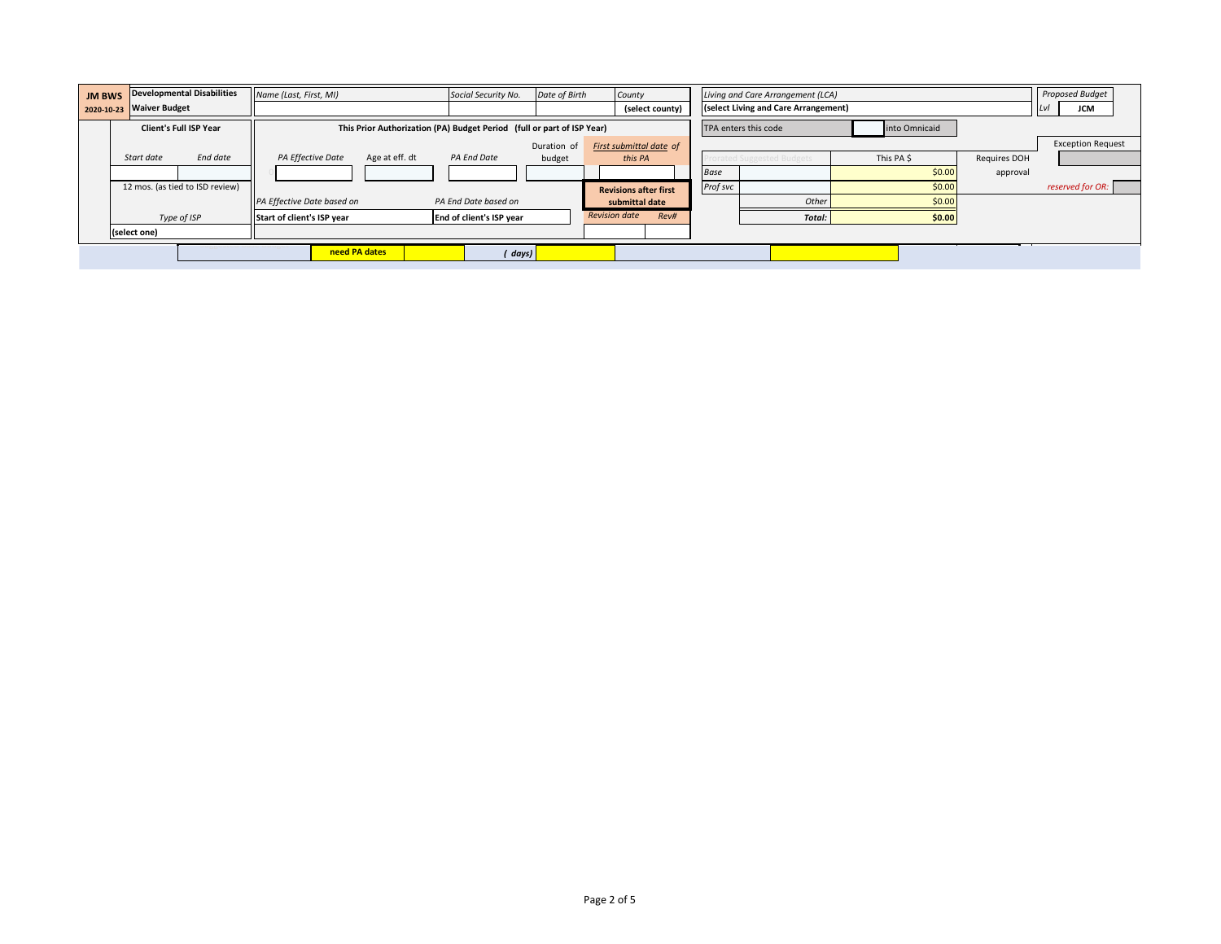| <b>JM BWS</b> | <b>Developmental Disabilities</b> | Name (Last, First, MI)                                                 | Social Security No.      | Date of Birth | County                       | Living and Care Arrangement (LCA)    |        |               |              | Proposed Budget          |
|---------------|-----------------------------------|------------------------------------------------------------------------|--------------------------|---------------|------------------------------|--------------------------------------|--------|---------------|--------------|--------------------------|
| 2020-10-23    | <b>Waiver Budget</b>              |                                                                        |                          |               | (select county)              | (select Living and Care Arrangement) |        |               |              | <b>JCM</b>               |
|               | <b>Client's Full ISP Year</b>     | This Prior Authorization (PA) Budget Period (full or part of ISP Year) |                          |               |                              | TPA enters this code                 |        | into Omnicaid |              |                          |
|               |                                   |                                                                        |                          | Duration of   | First submittal date of      |                                      |        |               |              | <b>Exception Request</b> |
|               | End date<br>Start date            | PA Effective Date<br>Age at eff. dt                                    | <b>PA End Date</b>       | budget        | this PA                      |                                      |        | This PA \$    | Requires DOH |                          |
|               |                                   |                                                                        |                          |               |                              | <b>Base</b>                          |        | \$0.00        | approval     |                          |
|               | 12 mos. (as tied to ISD review)   |                                                                        |                          |               | <b>Revisions after first</b> | Prof svc                             |        | \$0.00        |              | reserved for OR:         |
|               |                                   | PA Effective Date based on                                             | PA End Date based on     |               | submittal date               |                                      | Other  | \$0.00        |              |                          |
|               | Type of ISP                       | Start of client's ISP year                                             | End of client's ISP year |               | <b>Revision date</b><br>Rev# |                                      | Total: | \$0.00        |              |                          |
|               | (select one)                      |                                                                        |                          |               |                              |                                      |        |               |              |                          |
|               |                                   | need PA dates                                                          | days)                    |               |                              |                                      |        |               |              |                          |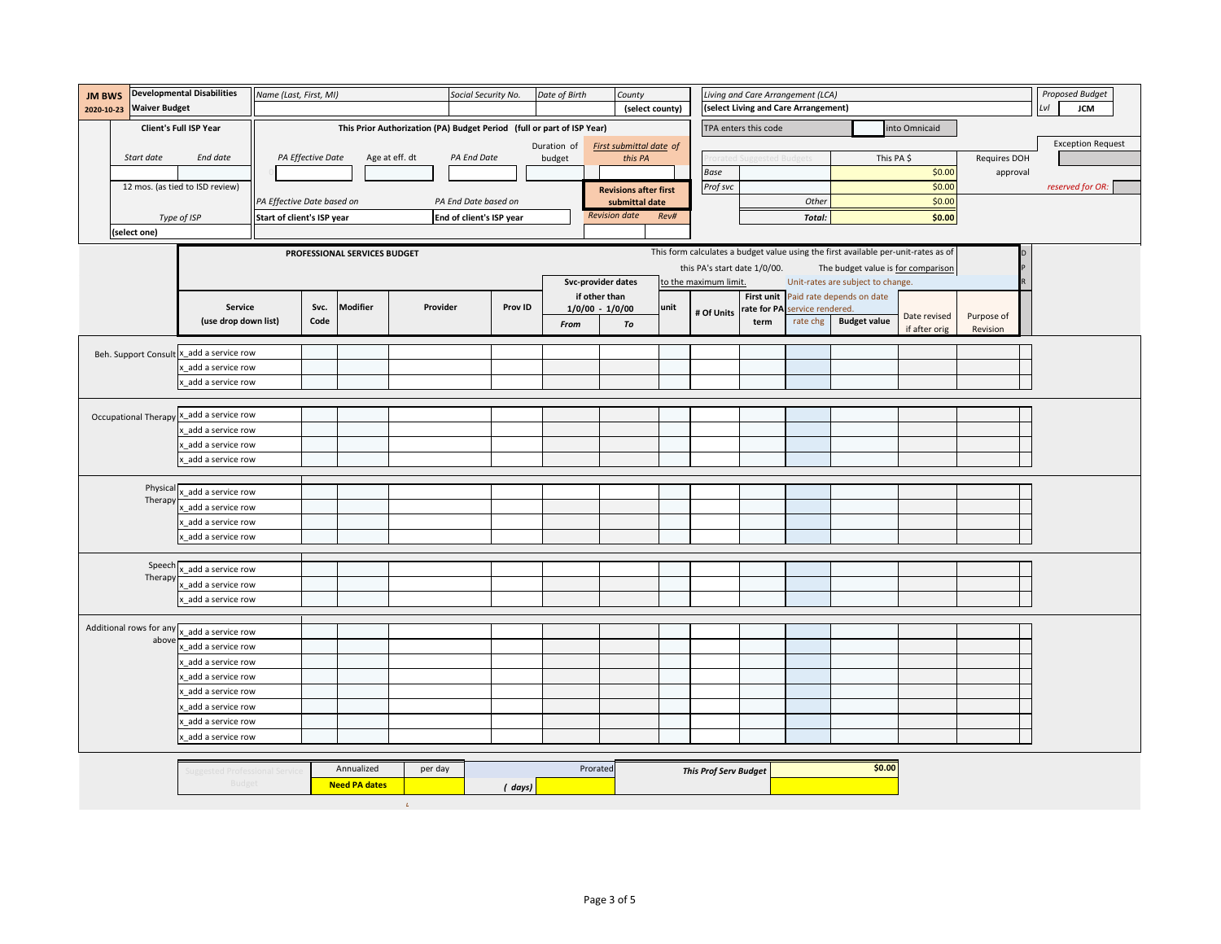| <b>JM BWS</b> | <b>Waiver Budget</b>    | <b>Developmental Disabilities</b>        | Name (Last, First, MI)     |      |                              |          | Social Security No.                                                    | Date of Birth | County               |                              |                              | Living and Care Arrangement (LCA)<br>(select Living and Care Arrangement) |                               |                                                                                    |               |              | Proposed Budget<br>Lvl   |
|---------------|-------------------------|------------------------------------------|----------------------------|------|------------------------------|----------|------------------------------------------------------------------------|---------------|----------------------|------------------------------|------------------------------|---------------------------------------------------------------------------|-------------------------------|------------------------------------------------------------------------------------|---------------|--------------|--------------------------|
| 2020-10-23    |                         |                                          |                            |      |                              |          |                                                                        |               |                      | (select county)              |                              |                                                                           |                               |                                                                                    |               |              | <b>JCM</b>               |
|               |                         | Client's Full ISP Year                   |                            |      |                              |          | This Prior Authorization (PA) Budget Period (full or part of ISP Year) |               |                      |                              |                              | TPA enters this code                                                      |                               |                                                                                    | into Omnicaid |              |                          |
|               |                         |                                          |                            |      |                              |          |                                                                        | Duration of   |                      | First submittal date of      |                              |                                                                           |                               |                                                                                    |               |              | <b>Exception Request</b> |
|               | Start date              | End date                                 | PA Effective Date          |      | Age at eff. dt               |          | PA End Date                                                            | budget        |                      | this PA                      | Base                         | ested Budg                                                                |                               | This PA \$                                                                         |               | Requires DOH |                          |
|               |                         |                                          |                            |      |                              |          |                                                                        |               |                      |                              |                              |                                                                           |                               |                                                                                    | \$0.00        | approval     |                          |
|               |                         | 12 mos. (as tied to ISD review)          |                            |      |                              |          |                                                                        |               |                      | <b>Revisions after first</b> | Prof svc                     |                                                                           |                               |                                                                                    | \$0.00        |              | reserved for OR:         |
|               |                         |                                          | PA Effective Date based on |      |                              |          | PA End Date based on                                                   |               | <b>Revision date</b> | submittal date<br>Rev#       |                              |                                                                           | Other                         |                                                                                    | \$0.00        |              |                          |
|               |                         | Type of ISP                              | Start of client's ISP year |      |                              |          | End of client's ISP year                                               |               |                      |                              |                              |                                                                           | Total:                        |                                                                                    | \$0.00        |              |                          |
|               | (select one)            |                                          |                            |      |                              |          |                                                                        |               |                      |                              |                              |                                                                           |                               |                                                                                    |               |              |                          |
|               |                         |                                          |                            |      | PROFESSIONAL SERVICES BUDGET |          |                                                                        |               |                      |                              |                              |                                                                           |                               | This form calculates a budget value using the first available per-unit-rates as of |               |              |                          |
|               |                         |                                          |                            |      |                              |          |                                                                        |               |                      |                              | this PA's start date 1/0/00. |                                                                           |                               | The budget value is for comparison                                                 |               |              |                          |
|               |                         |                                          |                            |      |                              |          |                                                                        |               | Svc-provider dates   |                              | to the maximum limit.        |                                                                           |                               | Unit-rates are subject to change.                                                  |               |              |                          |
|               |                         | Service                                  |                            | Svc. | Modifier                     | Provider | Prov ID                                                                |               | if other than        | unit                         |                              |                                                                           |                               | First unit Paid rate depends on date                                               |               |              |                          |
|               |                         | (use drop down list)                     |                            | Code |                              |          |                                                                        |               | $1/0/00 - 1/0/00$    |                              | # Of Units                   | rate for PA<br>term                                                       | service rendered.<br>rate chg | <b>Budget value</b>                                                                | Date revised  | Purpose of   |                          |
|               |                         |                                          |                            |      |                              |          |                                                                        | From          | To                   |                              |                              |                                                                           |                               |                                                                                    | if after orig | Revision     |                          |
|               |                         | Beh. Support Consult X_add a service row |                            |      |                              |          |                                                                        |               |                      |                              |                              |                                                                           |                               |                                                                                    |               |              |                          |
|               |                         | add a service row                        |                            |      |                              |          |                                                                        |               |                      |                              |                              |                                                                           |                               |                                                                                    |               |              |                          |
|               |                         | add a service row                        |                            |      |                              |          |                                                                        |               |                      |                              |                              |                                                                           |                               |                                                                                    |               |              |                          |
|               |                         |                                          |                            |      |                              |          |                                                                        |               |                      |                              |                              |                                                                           |                               |                                                                                    |               |              |                          |
|               |                         | add a service row                        |                            |      |                              |          |                                                                        |               |                      |                              |                              |                                                                           |                               |                                                                                    |               |              |                          |
|               | Occupational Therapy    | add a service row                        |                            |      |                              |          |                                                                        |               |                      |                              |                              |                                                                           |                               |                                                                                    |               |              |                          |
|               |                         | add a service row                        |                            |      |                              |          |                                                                        |               |                      |                              |                              |                                                                           |                               |                                                                                    |               |              |                          |
|               |                         | add a service row                        |                            |      |                              |          |                                                                        |               |                      |                              |                              |                                                                           |                               |                                                                                    |               |              |                          |
|               |                         |                                          |                            |      |                              |          |                                                                        |               |                      |                              |                              |                                                                           |                               |                                                                                    |               |              |                          |
|               | Physical                | add a service row                        |                            |      |                              |          |                                                                        |               |                      |                              |                              |                                                                           |                               |                                                                                    |               |              |                          |
|               | Therapy                 | add a service row                        |                            |      |                              |          |                                                                        |               |                      |                              |                              |                                                                           |                               |                                                                                    |               |              |                          |
|               |                         | add a service row                        |                            |      |                              |          |                                                                        |               |                      |                              |                              |                                                                           |                               |                                                                                    |               |              |                          |
|               |                         | add a service row                        |                            |      |                              |          |                                                                        |               |                      |                              |                              |                                                                           |                               |                                                                                    |               |              |                          |
|               |                         |                                          |                            |      |                              |          |                                                                        |               |                      |                              |                              |                                                                           |                               |                                                                                    |               |              |                          |
|               | Speech                  | cadd a service row                       |                            |      |                              |          |                                                                        |               |                      |                              |                              |                                                                           |                               |                                                                                    |               |              |                          |
|               | Therapy                 | add a service row                        |                            |      |                              |          |                                                                        |               |                      |                              |                              |                                                                           |                               |                                                                                    |               |              |                          |
|               |                         | add a service row                        |                            |      |                              |          |                                                                        |               |                      |                              |                              |                                                                           |                               |                                                                                    |               |              |                          |
|               |                         |                                          |                            |      |                              |          |                                                                        |               |                      |                              |                              |                                                                           |                               |                                                                                    |               |              |                          |
|               | Additional rows for any | add a service row                        |                            |      |                              |          |                                                                        |               |                      |                              |                              |                                                                           |                               |                                                                                    |               |              |                          |
|               | above                   | add a service row                        |                            |      |                              |          |                                                                        |               |                      |                              |                              |                                                                           |                               |                                                                                    |               |              |                          |
|               |                         | add a service row                        |                            |      |                              |          |                                                                        |               |                      |                              |                              |                                                                           |                               |                                                                                    |               |              |                          |
|               |                         | add a service row                        |                            |      |                              |          |                                                                        |               |                      |                              |                              |                                                                           |                               |                                                                                    |               |              |                          |
|               |                         | add a service row                        |                            |      |                              |          |                                                                        |               |                      |                              |                              |                                                                           |                               |                                                                                    |               |              |                          |
|               |                         | add a service row                        |                            |      |                              |          |                                                                        |               |                      |                              |                              |                                                                           |                               |                                                                                    |               |              |                          |
|               |                         | add a service row                        |                            |      |                              |          |                                                                        |               |                      |                              |                              |                                                                           |                               |                                                                                    |               |              |                          |
|               |                         | add a service row                        |                            |      |                              |          |                                                                        |               |                      |                              |                              |                                                                           |                               |                                                                                    |               |              |                          |
|               |                         |                                          |                            |      |                              |          |                                                                        |               |                      |                              |                              |                                                                           |                               |                                                                                    |               |              |                          |
|               |                         |                                          |                            |      | Annualized                   |          |                                                                        |               | Prorated             |                              |                              |                                                                           |                               | \$0.00                                                                             |               |              |                          |
|               |                         |                                          |                            |      |                              |          |                                                                        |               |                      |                              |                              |                                                                           |                               |                                                                                    |               |              |                          |
|               |                         | ggested Professional Servic<br>Budget    |                            |      | <b>Need PA dates</b>         | per day  | (days)                                                                 |               |                      |                              | <b>This Prof Serv Budget</b> |                                                                           |                               |                                                                                    |               |              |                          |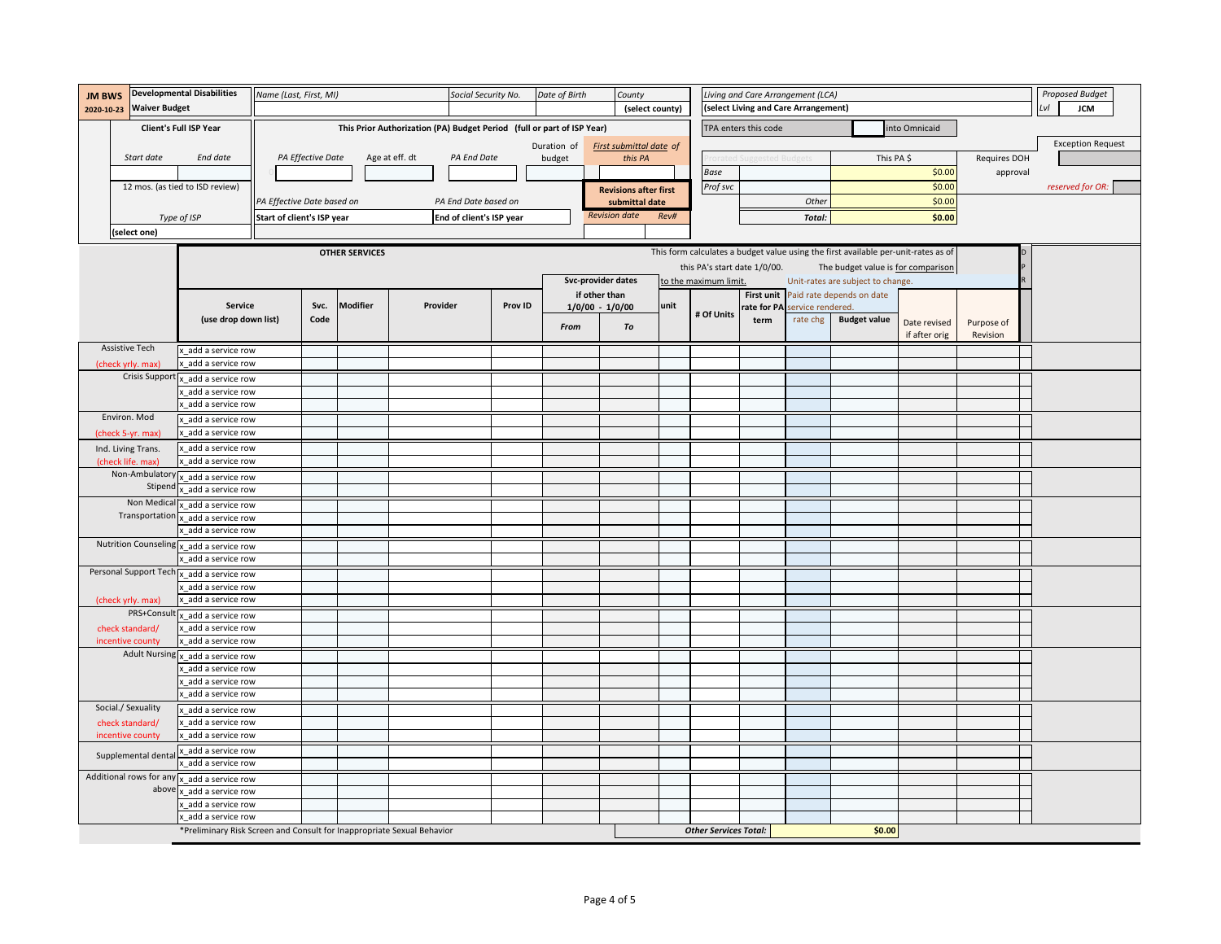| (select Living and Care Arrangement)<br>LvI<br><b>Waiver Budget</b><br>(select county)<br>2020-10-23<br><b>Client's Full ISP Year</b><br>This Prior Authorization (PA) Budget Period (full or part of ISP Year)<br>into Omnicaid<br>TPA enters this code<br>Duration of<br>First submittal date of<br>Start date<br>End date<br>PA Effective Date<br>Age at eff. dt<br>PA End Date<br>This PA \$<br>Requires DOH<br>budget<br>this PA<br><b>Base</b><br>\$0.00<br>approval<br>12 mos. (as tied to ISD review)<br>\$0.00<br>Prof svc<br><b>Revisions after first</b><br>Other<br>\$0.00<br>PA Effective Date based on<br>PA End Date based on<br>submittal date<br><b>Revision date</b><br>Rev#<br>Start of client's ISP year<br>End of client's ISP year<br>\$0.00<br>Type of ISP<br>Total:<br>(select one)<br>This form calculates a budget value using the first available per-unit-rates as of<br><b>OTHER SERVICES</b><br>this PA's start date 1/0/00.<br>The budget value is for comparison<br>Svc-provider dates<br>to the maximum limit.<br>Unit-rates are subject to change.<br>if other than<br>First unit Paid rate depends on date<br>Modifier<br>Service<br>Svc.<br>Provider<br>Prov ID<br>unit<br>$1/0/00 - 1/0/00$<br>rate for PA<br>service rendered.<br># Of Units<br>rate chg<br>(use drop down list)<br>Code<br><b>Budget value</b><br>term<br>Date revised<br>Purpose of<br>From<br>To<br>Revision<br>if after orig<br>Assistive Tech<br>add a service row<br>add a service row<br>(check yrly. max)<br>Crisis Support x_add a service row<br>add a service row<br>add a service row<br>Environ. Mod<br>x add a service row |                          |
|------------------------------------------------------------------------------------------------------------------------------------------------------------------------------------------------------------------------------------------------------------------------------------------------------------------------------------------------------------------------------------------------------------------------------------------------------------------------------------------------------------------------------------------------------------------------------------------------------------------------------------------------------------------------------------------------------------------------------------------------------------------------------------------------------------------------------------------------------------------------------------------------------------------------------------------------------------------------------------------------------------------------------------------------------------------------------------------------------------------------------------------------------------------------------------------------------------------------------------------------------------------------------------------------------------------------------------------------------------------------------------------------------------------------------------------------------------------------------------------------------------------------------------------------------------------------------------------------------------------------------------------------|--------------------------|
|                                                                                                                                                                                                                                                                                                                                                                                                                                                                                                                                                                                                                                                                                                                                                                                                                                                                                                                                                                                                                                                                                                                                                                                                                                                                                                                                                                                                                                                                                                                                                                                                                                                | <b>JCM</b>               |
|                                                                                                                                                                                                                                                                                                                                                                                                                                                                                                                                                                                                                                                                                                                                                                                                                                                                                                                                                                                                                                                                                                                                                                                                                                                                                                                                                                                                                                                                                                                                                                                                                                                |                          |
|                                                                                                                                                                                                                                                                                                                                                                                                                                                                                                                                                                                                                                                                                                                                                                                                                                                                                                                                                                                                                                                                                                                                                                                                                                                                                                                                                                                                                                                                                                                                                                                                                                                | <b>Exception Request</b> |
|                                                                                                                                                                                                                                                                                                                                                                                                                                                                                                                                                                                                                                                                                                                                                                                                                                                                                                                                                                                                                                                                                                                                                                                                                                                                                                                                                                                                                                                                                                                                                                                                                                                |                          |
|                                                                                                                                                                                                                                                                                                                                                                                                                                                                                                                                                                                                                                                                                                                                                                                                                                                                                                                                                                                                                                                                                                                                                                                                                                                                                                                                                                                                                                                                                                                                                                                                                                                |                          |
|                                                                                                                                                                                                                                                                                                                                                                                                                                                                                                                                                                                                                                                                                                                                                                                                                                                                                                                                                                                                                                                                                                                                                                                                                                                                                                                                                                                                                                                                                                                                                                                                                                                | reserved for OR:         |
|                                                                                                                                                                                                                                                                                                                                                                                                                                                                                                                                                                                                                                                                                                                                                                                                                                                                                                                                                                                                                                                                                                                                                                                                                                                                                                                                                                                                                                                                                                                                                                                                                                                |                          |
|                                                                                                                                                                                                                                                                                                                                                                                                                                                                                                                                                                                                                                                                                                                                                                                                                                                                                                                                                                                                                                                                                                                                                                                                                                                                                                                                                                                                                                                                                                                                                                                                                                                |                          |
|                                                                                                                                                                                                                                                                                                                                                                                                                                                                                                                                                                                                                                                                                                                                                                                                                                                                                                                                                                                                                                                                                                                                                                                                                                                                                                                                                                                                                                                                                                                                                                                                                                                |                          |
|                                                                                                                                                                                                                                                                                                                                                                                                                                                                                                                                                                                                                                                                                                                                                                                                                                                                                                                                                                                                                                                                                                                                                                                                                                                                                                                                                                                                                                                                                                                                                                                                                                                |                          |
|                                                                                                                                                                                                                                                                                                                                                                                                                                                                                                                                                                                                                                                                                                                                                                                                                                                                                                                                                                                                                                                                                                                                                                                                                                                                                                                                                                                                                                                                                                                                                                                                                                                |                          |
|                                                                                                                                                                                                                                                                                                                                                                                                                                                                                                                                                                                                                                                                                                                                                                                                                                                                                                                                                                                                                                                                                                                                                                                                                                                                                                                                                                                                                                                                                                                                                                                                                                                |                          |
|                                                                                                                                                                                                                                                                                                                                                                                                                                                                                                                                                                                                                                                                                                                                                                                                                                                                                                                                                                                                                                                                                                                                                                                                                                                                                                                                                                                                                                                                                                                                                                                                                                                |                          |
|                                                                                                                                                                                                                                                                                                                                                                                                                                                                                                                                                                                                                                                                                                                                                                                                                                                                                                                                                                                                                                                                                                                                                                                                                                                                                                                                                                                                                                                                                                                                                                                                                                                |                          |
|                                                                                                                                                                                                                                                                                                                                                                                                                                                                                                                                                                                                                                                                                                                                                                                                                                                                                                                                                                                                                                                                                                                                                                                                                                                                                                                                                                                                                                                                                                                                                                                                                                                |                          |
|                                                                                                                                                                                                                                                                                                                                                                                                                                                                                                                                                                                                                                                                                                                                                                                                                                                                                                                                                                                                                                                                                                                                                                                                                                                                                                                                                                                                                                                                                                                                                                                                                                                |                          |
|                                                                                                                                                                                                                                                                                                                                                                                                                                                                                                                                                                                                                                                                                                                                                                                                                                                                                                                                                                                                                                                                                                                                                                                                                                                                                                                                                                                                                                                                                                                                                                                                                                                |                          |
|                                                                                                                                                                                                                                                                                                                                                                                                                                                                                                                                                                                                                                                                                                                                                                                                                                                                                                                                                                                                                                                                                                                                                                                                                                                                                                                                                                                                                                                                                                                                                                                                                                                |                          |
|                                                                                                                                                                                                                                                                                                                                                                                                                                                                                                                                                                                                                                                                                                                                                                                                                                                                                                                                                                                                                                                                                                                                                                                                                                                                                                                                                                                                                                                                                                                                                                                                                                                |                          |
|                                                                                                                                                                                                                                                                                                                                                                                                                                                                                                                                                                                                                                                                                                                                                                                                                                                                                                                                                                                                                                                                                                                                                                                                                                                                                                                                                                                                                                                                                                                                                                                                                                                |                          |
|                                                                                                                                                                                                                                                                                                                                                                                                                                                                                                                                                                                                                                                                                                                                                                                                                                                                                                                                                                                                                                                                                                                                                                                                                                                                                                                                                                                                                                                                                                                                                                                                                                                |                          |
|                                                                                                                                                                                                                                                                                                                                                                                                                                                                                                                                                                                                                                                                                                                                                                                                                                                                                                                                                                                                                                                                                                                                                                                                                                                                                                                                                                                                                                                                                                                                                                                                                                                |                          |
| (check 5-yr. max)<br>x add a service row                                                                                                                                                                                                                                                                                                                                                                                                                                                                                                                                                                                                                                                                                                                                                                                                                                                                                                                                                                                                                                                                                                                                                                                                                                                                                                                                                                                                                                                                                                                                                                                                       |                          |
| Ind. Living Trans.<br>add a service row                                                                                                                                                                                                                                                                                                                                                                                                                                                                                                                                                                                                                                                                                                                                                                                                                                                                                                                                                                                                                                                                                                                                                                                                                                                                                                                                                                                                                                                                                                                                                                                                        |                          |
| add a service row<br>(check life. max)                                                                                                                                                                                                                                                                                                                                                                                                                                                                                                                                                                                                                                                                                                                                                                                                                                                                                                                                                                                                                                                                                                                                                                                                                                                                                                                                                                                                                                                                                                                                                                                                         |                          |
| Non-Ambulatory x_add a service row                                                                                                                                                                                                                                                                                                                                                                                                                                                                                                                                                                                                                                                                                                                                                                                                                                                                                                                                                                                                                                                                                                                                                                                                                                                                                                                                                                                                                                                                                                                                                                                                             |                          |
| Stipend<br>add a service row                                                                                                                                                                                                                                                                                                                                                                                                                                                                                                                                                                                                                                                                                                                                                                                                                                                                                                                                                                                                                                                                                                                                                                                                                                                                                                                                                                                                                                                                                                                                                                                                                   |                          |
| Non Medica<br>add a service row                                                                                                                                                                                                                                                                                                                                                                                                                                                                                                                                                                                                                                                                                                                                                                                                                                                                                                                                                                                                                                                                                                                                                                                                                                                                                                                                                                                                                                                                                                                                                                                                                |                          |
| Transportation<br>add a service row                                                                                                                                                                                                                                                                                                                                                                                                                                                                                                                                                                                                                                                                                                                                                                                                                                                                                                                                                                                                                                                                                                                                                                                                                                                                                                                                                                                                                                                                                                                                                                                                            |                          |
| add a service row                                                                                                                                                                                                                                                                                                                                                                                                                                                                                                                                                                                                                                                                                                                                                                                                                                                                                                                                                                                                                                                                                                                                                                                                                                                                                                                                                                                                                                                                                                                                                                                                                              |                          |
| Nutrition Counseling x_add a service row                                                                                                                                                                                                                                                                                                                                                                                                                                                                                                                                                                                                                                                                                                                                                                                                                                                                                                                                                                                                                                                                                                                                                                                                                                                                                                                                                                                                                                                                                                                                                                                                       |                          |
| add a service row                                                                                                                                                                                                                                                                                                                                                                                                                                                                                                                                                                                                                                                                                                                                                                                                                                                                                                                                                                                                                                                                                                                                                                                                                                                                                                                                                                                                                                                                                                                                                                                                                              |                          |
| Personal Support Tech x_add a service row<br>add a service row                                                                                                                                                                                                                                                                                                                                                                                                                                                                                                                                                                                                                                                                                                                                                                                                                                                                                                                                                                                                                                                                                                                                                                                                                                                                                                                                                                                                                                                                                                                                                                                 |                          |
| (check yrly. max)<br>add a service row_                                                                                                                                                                                                                                                                                                                                                                                                                                                                                                                                                                                                                                                                                                                                                                                                                                                                                                                                                                                                                                                                                                                                                                                                                                                                                                                                                                                                                                                                                                                                                                                                        |                          |
| PRS+Consult x_add a service row                                                                                                                                                                                                                                                                                                                                                                                                                                                                                                                                                                                                                                                                                                                                                                                                                                                                                                                                                                                                                                                                                                                                                                                                                                                                                                                                                                                                                                                                                                                                                                                                                |                          |
| check standard/<br>add a service row                                                                                                                                                                                                                                                                                                                                                                                                                                                                                                                                                                                                                                                                                                                                                                                                                                                                                                                                                                                                                                                                                                                                                                                                                                                                                                                                                                                                                                                                                                                                                                                                           |                          |
| add a service row<br>incentive county                                                                                                                                                                                                                                                                                                                                                                                                                                                                                                                                                                                                                                                                                                                                                                                                                                                                                                                                                                                                                                                                                                                                                                                                                                                                                                                                                                                                                                                                                                                                                                                                          |                          |
| Adult Nursing x_add a service row                                                                                                                                                                                                                                                                                                                                                                                                                                                                                                                                                                                                                                                                                                                                                                                                                                                                                                                                                                                                                                                                                                                                                                                                                                                                                                                                                                                                                                                                                                                                                                                                              |                          |
| add a service row                                                                                                                                                                                                                                                                                                                                                                                                                                                                                                                                                                                                                                                                                                                                                                                                                                                                                                                                                                                                                                                                                                                                                                                                                                                                                                                                                                                                                                                                                                                                                                                                                              |                          |
| add a service row                                                                                                                                                                                                                                                                                                                                                                                                                                                                                                                                                                                                                                                                                                                                                                                                                                                                                                                                                                                                                                                                                                                                                                                                                                                                                                                                                                                                                                                                                                                                                                                                                              |                          |
| add a service row                                                                                                                                                                                                                                                                                                                                                                                                                                                                                                                                                                                                                                                                                                                                                                                                                                                                                                                                                                                                                                                                                                                                                                                                                                                                                                                                                                                                                                                                                                                                                                                                                              |                          |
| Social./ Sexuality<br>add a service row                                                                                                                                                                                                                                                                                                                                                                                                                                                                                                                                                                                                                                                                                                                                                                                                                                                                                                                                                                                                                                                                                                                                                                                                                                                                                                                                                                                                                                                                                                                                                                                                        |                          |
| check standard/<br>add a service row                                                                                                                                                                                                                                                                                                                                                                                                                                                                                                                                                                                                                                                                                                                                                                                                                                                                                                                                                                                                                                                                                                                                                                                                                                                                                                                                                                                                                                                                                                                                                                                                           |                          |
| add a service row<br>incentive county                                                                                                                                                                                                                                                                                                                                                                                                                                                                                                                                                                                                                                                                                                                                                                                                                                                                                                                                                                                                                                                                                                                                                                                                                                                                                                                                                                                                                                                                                                                                                                                                          |                          |
| add a service row<br>Supplemental dental                                                                                                                                                                                                                                                                                                                                                                                                                                                                                                                                                                                                                                                                                                                                                                                                                                                                                                                                                                                                                                                                                                                                                                                                                                                                                                                                                                                                                                                                                                                                                                                                       |                          |
| add a service row<br>Additional rows for any x_add a service row                                                                                                                                                                                                                                                                                                                                                                                                                                                                                                                                                                                                                                                                                                                                                                                                                                                                                                                                                                                                                                                                                                                                                                                                                                                                                                                                                                                                                                                                                                                                                                               |                          |
| above<br>add a service row                                                                                                                                                                                                                                                                                                                                                                                                                                                                                                                                                                                                                                                                                                                                                                                                                                                                                                                                                                                                                                                                                                                                                                                                                                                                                                                                                                                                                                                                                                                                                                                                                     |                          |
| add a service row                                                                                                                                                                                                                                                                                                                                                                                                                                                                                                                                                                                                                                                                                                                                                                                                                                                                                                                                                                                                                                                                                                                                                                                                                                                                                                                                                                                                                                                                                                                                                                                                                              |                          |
| add a service row                                                                                                                                                                                                                                                                                                                                                                                                                                                                                                                                                                                                                                                                                                                                                                                                                                                                                                                                                                                                                                                                                                                                                                                                                                                                                                                                                                                                                                                                                                                                                                                                                              |                          |
| *Preliminary Risk Screen and Consult for Inappropriate Sexual Behavior<br>\$0.00<br><b>Other Services Total:</b>                                                                                                                                                                                                                                                                                                                                                                                                                                                                                                                                                                                                                                                                                                                                                                                                                                                                                                                                                                                                                                                                                                                                                                                                                                                                                                                                                                                                                                                                                                                               |                          |